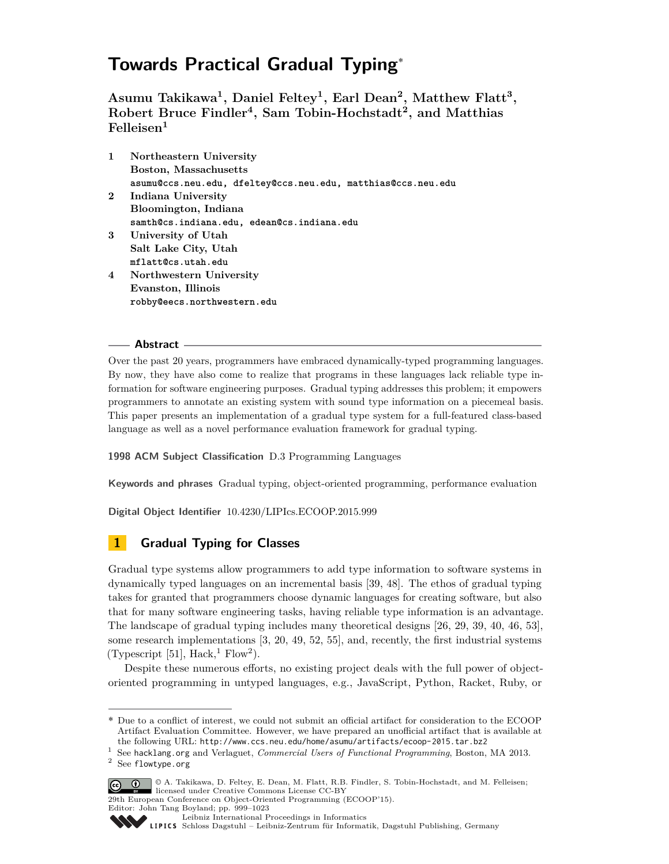# **Towards Practical Gradual Typing**˚

**Asumu Takikawa<sup>1</sup> , Daniel Feltey<sup>1</sup> , Earl Dean<sup>2</sup> , Matthew Flatt<sup>3</sup> , Robert Bruce Findler<sup>4</sup> , Sam Tobin-Hochstadt<sup>2</sup> , and Matthias Felleisen<sup>1</sup>**

- **1 Northeastern University Boston, Massachusetts asumu@ccs.neu.edu, dfeltey@ccs.neu.edu, matthias@ccs.neu.edu 2 Indiana University Bloomington, Indiana samth@cs.indiana.edu, edean@cs.indiana.edu 3 University of Utah Salt Lake City, Utah mflatt@cs.utah.edu 4 Northwestern University Evanston, Illinois**
- **robby@eecs.northwestern.edu**

# **Abstract**

Over the past 20 years, programmers have embraced dynamically-typed programming languages. By now, they have also come to realize that programs in these languages lack reliable type information for software engineering purposes. Gradual typing addresses this problem; it empowers programmers to annotate an existing system with sound type information on a piecemeal basis. This paper presents an implementation of a gradual type system for a full-featured class-based language as well as a novel performance evaluation framework for gradual typing.

# **1998 ACM Subject Classification** D.3 Programming Languages

**Keywords and phrases** Gradual typing, object-oriented programming, performance evaluation

**Digital Object Identifier** [10.4230/LIPIcs.ECOOP.2015.999](http://dx.doi.org/10.4230/LIPIcs.ECOOP.2015.999)

# **1 Gradual Typing for Classes**

Gradual type systems allow programmers to add type information to software systems in dynamically typed languages on an incremental basis [39, 48]. The ethos of gradual typing takes for granted that programmers choose dynamic languages for creating software, but also that for many software engineering tasks, having reliable type information is an advantage. The landscape of gradual typing includes many theoretical designs [26, 29, 39, 40, 46, 53], some research implementations [3, 20, 49, 52, 55], and, recently, the first industrial systems (Typescript [5[1](#page-0-0)], Hack,<sup>1</sup> Flow<sup>[2](#page-0-1)</sup>).

Despite these numerous efforts, no existing project deals with the full power of objectoriented programming in untyped languages, e.g., JavaScript, Python, Racket, Ruby, or

Editor: John Tang Boyland; pp. 999[–1023](#page-24-0)

<sup>˚</sup> Due to a conflict of interest, we could not submit an official artifact for consideration to the ECOOP Artifact Evaluation Committee. However, we have prepared an unofficial artifact that is available at the following URL: <http://www.ccs.neu.edu/home/asumu/artifacts/ecoop-2015.tar.bz2>

<span id="page-0-1"></span><span id="page-0-0"></span><sup>1</sup> See [hacklang.org](http://hacklang.org/) and Verlaguet, *Commercial Users of Functional Programming*, Boston, MA 2013. <sup>2</sup> See [flowtype.org](http://flowtype.org)

<sup>©</sup> A. Takikawa, D. Feltey, E. Dean, M. Flatt, R.B. Findler, S. Tobin-Hochstadt, and M. Felleisen; licensed under Creative Commons License CC-BY 29th European Conference on Object-Oriented Programming (ECOOP'15).

[Leibniz International Proceedings in Informatics](http://www.dagstuhl.de/lipics/) [Schloss Dagstuhl – Leibniz-Zentrum für Informatik, Dagstuhl Publishing, Germany](http://www.dagstuhl.de)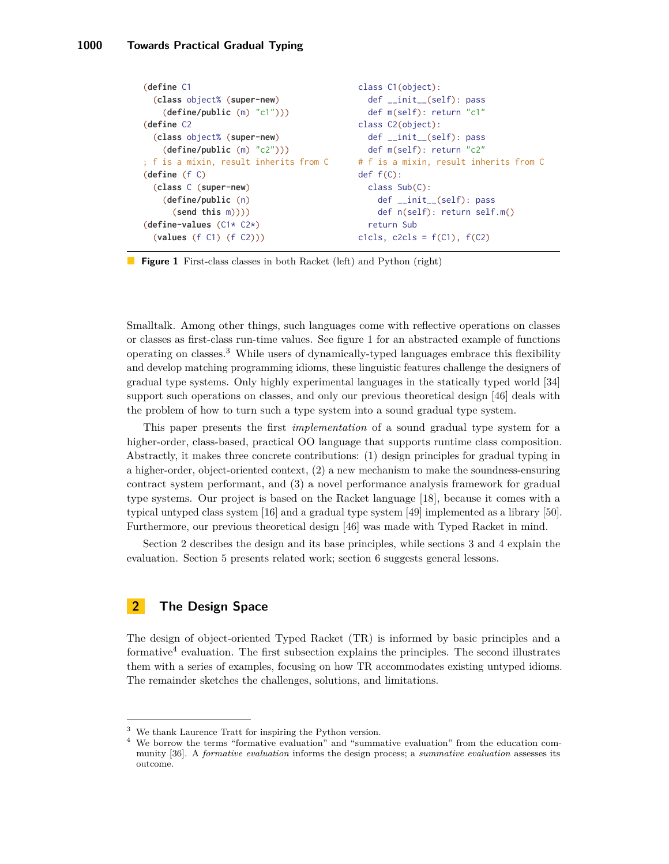```
(define C1
  (class object% (super-new)
    (define/public (m) "c1")))
(define C2
  (class object% (super-new)
    (define/public (m) "c2")))
; f is a mixin, result inherits from C
(define (f C)
  (class C (super-new)
    (define/public (n)
      (send this m))))
(define-values (C1 \times C2 \times)(values (f C1) (f C2)))
                                             class C1(object):
                                                def __init__(self): pass
                                               def m(self): return "c1"
                                             class C2(object):
                                                def __init__(self): pass
                                                def m(self): return "c2"
                                             # f is a mixin, result inherits from C
                                             def f(C):
                                               class Sub(C):
                                                 def __init__(self): pass
                                                  def n(self): return self.m()
                                                return Sub
                                             c1cls, c2cls = f(C1), f(C2)
```
**Figure 1** First-class classes in both Racket (left) and Python (right)

Smalltalk. Among other things, such languages come with reflective operations on classes or classes as first-class run-time values. See figure [1](#page-1-0) for an abstracted example of functions operating on classes.[3](#page-1-1) While users of dynamically-typed languages embrace this flexibility and develop matching programming idioms, these linguistic features challenge the designers of gradual type systems. Only highly experimental languages in the statically typed world [34] support such operations on classes, and only our previous theoretical design [46] deals with the problem of how to turn such a type system into a sound gradual type system.

This paper presents the first *implementation* of a sound gradual type system for a higher-order, class-based, practical OO language that supports runtime class composition. Abstractly, it makes three concrete contributions: (1) design principles for gradual typing in a higher-order, object-oriented context, (2) a new mechanism to make the soundness-ensuring contract system performant, and (3) a novel performance analysis framework for gradual type systems. Our project is based on the Racket language [18], because it comes with a typical untyped class system [16] and a gradual type system [49] implemented as a library [50]. Furthermore, our previous theoretical design [46] was made with Typed Racket in mind.

Section 2 describes the design and its base principles, while sections 3 and 4 explain the evaluation. Section 5 presents related work; section 6 suggests general lessons.

# <span id="page-1-3"></span>**2 The Design Space**

The design of object-oriented Typed Racket (TR) is informed by basic principles and a formative<sup>[4](#page-1-2)</sup> evaluation. The first subsection explains the principles. The second illustrates them with a series of examples, focusing on how TR accommodates existing untyped idioms. The remainder sketches the challenges, solutions, and limitations.

<span id="page-1-1"></span><sup>3</sup> We thank Laurence Tratt for inspiring the Python version.

<span id="page-1-2"></span><sup>4</sup> We borrow the terms "formative evaluation" and "summative evaluation" from the education community [36]. A *formative evaluation* informs the design process; a *summative evaluation* assesses its outcome.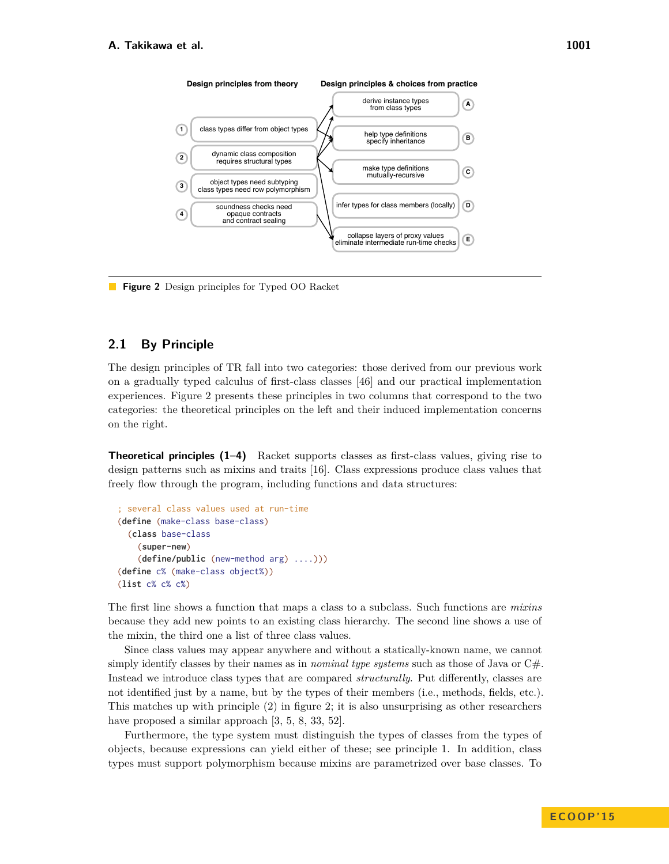<span id="page-2-0"></span>

Figure 2 Design principles for Typed OO Racket

#### <span id="page-2-1"></span> $2.1$ **By Principle**

The design principles of TR fall into two categories: those derived from our previous work on a gradually typed calculus of first-class classes [46] and our practical implementation experiences. Figure 2 presents these principles in two columns that correspond to the two categories: the theoretical principles on the left and their induced implementation concerns on the right.

**Theoretical principles (1–4)** Racket supports classes as first-class values, giving rise to design patterns such as mixins and traits [16]. Class expressions produce class values that freely flow through the program, including functions and data structures:

```
; several class values used at run-time
(define (make-class base-class)
  (class base-class
    (super-new)
    (define/public (new-method arg) ....)))
(define c% (make-class object%))
(list c % c % c %)
```
The first line shows a function that maps a class to a subclass. Such functions are *mixins* because they add new points to an existing class hierarchy. The second line shows a use of the mixin, the third one a list of three class values.

Since class values may appear anywhere and without a statically-known name, we cannot simply identify classes by their names as in *nominal type systems* such as those of Java or  $C#$ . Instead we introduce class types that are compared *structurally*. Put differently, classes are not identified just by a name, but by the types of their members (i.e., methods, fields, etc.). This matches up with principle  $(2)$  in figure 2; it is also unsurprising as other researchers have proposed a similar approach  $[3, 5, 8, 33, 52]$ .

Furthermore, the type system must distinguish the types of classes from the types of objects, because expressions can yield either of these; see principle 1. In addition, class types must support polymorphism because mixins are parametrized over base classes. To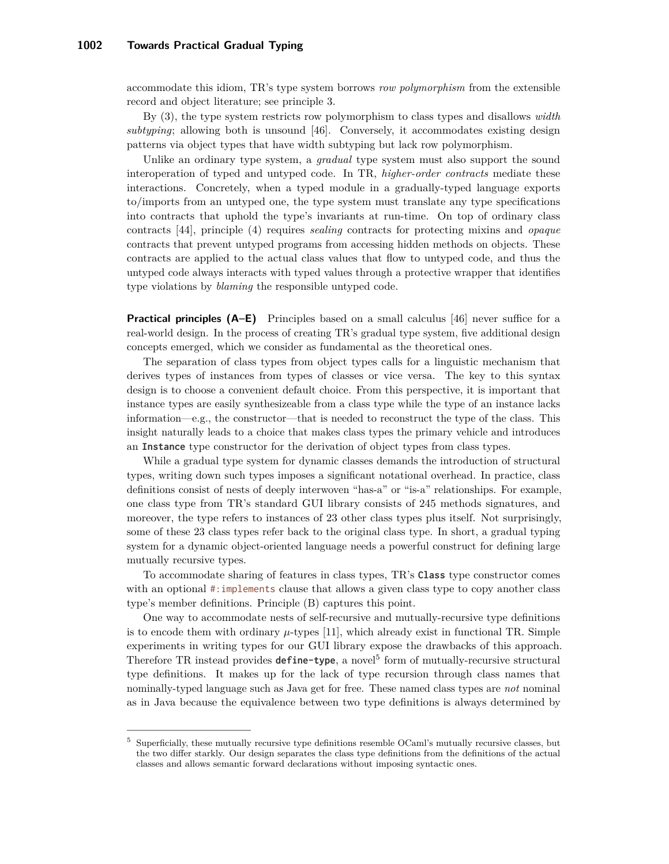accommodate this idiom, TR's type system borrows *row polymorphism* from the extensible record and object literature; see principle 3.

By (3), the type system restricts row polymorphism to class types and disallows *width subtyping*; allowing both is unsound [46]. Conversely, it accommodates existing design patterns via object types that have width subtyping but lack row polymorphism.

Unlike an ordinary type system, a *gradual* type system must also support the sound interoperation of typed and untyped code. In TR, *higher-order contracts* mediate these interactions. Concretely, when a typed module in a gradually-typed language exports to/imports from an untyped one, the type system must translate any type specifications into contracts that uphold the type's invariants at run-time. On top of ordinary class contracts [44], principle (4) requires *sealing* contracts for protecting mixins and *opaque* contracts that prevent untyped programs from accessing hidden methods on objects. These contracts are applied to the actual class values that flow to untyped code, and thus the untyped code always interacts with typed values through a protective wrapper that identifies type violations by *blaming* the responsible untyped code.

**Practical principles (A–E)** Principles based on a small calculus [46] never suffice for a real-world design. In the process of creating TR's gradual type system, five additional design concepts emerged, which we consider as fundamental as the theoretical ones.

The separation of class types from object types calls for a linguistic mechanism that derives types of instances from types of classes or vice versa. The key to this syntax design is to choose a convenient default choice. From this perspective, it is important that instance types are easily synthesizeable from a class type while the type of an instance lacks information—e.g., the constructor—that is needed to reconstruct the type of the class. This insight naturally leads to a choice that makes class types the primary vehicle and introduces an Instance type constructor for the derivation of object types from class types.

While a gradual type system for dynamic classes demands the introduction of structural types, writing down such types imposes a significant notational overhead. In practice, class definitions consist of nests of deeply interwoven "has-a" or "is-a" relationships. For example, one class type from TR's standard GUI library consists of 245 methods signatures, and moreover, the type refers to instances of 23 other class types plus itself. Not surprisingly, some of these 23 class types refer back to the original class type. In short, a gradual typing system for a dynamic object-oriented language needs a powerful construct for defining large mutually recursive types.

To accommodate sharing of features in class types, TR's Class type constructor comes with an optional #: implements clause that allows a given class type to copy another class type's member definitions. Principle (B) captures this point.

One way to accommodate nests of self-recursive and mutually-recursive type definitions is to encode them with ordinary  $\mu$ -types [11], which already exist in functional TR. Simple experiments in writing types for our GUI library expose the drawbacks of this approach. Therefore TR instead provides **define-type**, a novel<sup>[5](#page-3-0)</sup> form of mutually-recursive structural type definitions. It makes up for the lack of type recursion through class names that nominally-typed language such as Java get for free. These named class types are *not* nominal as in Java because the equivalence between two type definitions is always determined by

<span id="page-3-0"></span><sup>5</sup> Superficially, these mutually recursive type definitions resemble OCaml's mutually recursive classes, but the two differ starkly. Our design separates the class type definitions from the definitions of the actual classes and allows semantic forward declarations without imposing syntactic ones.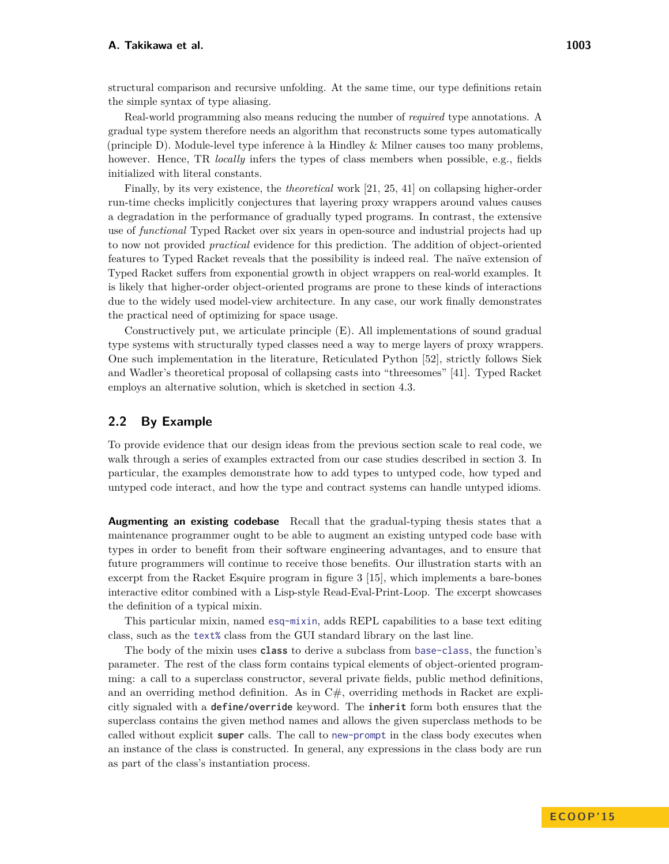Real-world programming also means reducing the number of *required* type annotations. A gradual type system therefore needs an algorithm that reconstructs some types automatically (principle D). Module-level type inference à la Hindley & Milner causes too many problems, however. Hence, TR *locally* infers the types of class members when possible, e.g., fields initialized with literal constants.

Finally, by its very existence, the *theoretical* work [21, 25, 41] on collapsing higher-order run-time checks implicitly conjectures that layering proxy wrappers around values causes a degradation in the performance of gradually typed programs. In contrast, the extensive use of *functional* Typed Racket over six years in open-source and industrial projects had up to now not provided *practical* evidence for this prediction. The addition of object-oriented features to Typed Racket reveals that the possibility is indeed real. The naïve extension of Typed Racket suffers from exponential growth in object wrappers on real-world examples. It is likely that higher-order object-oriented programs are prone to these kinds of interactions due to the widely used model-view architecture. In any case, our work finally demonstrates the practical need of optimizing for space usage.

Constructively put, we articulate principle (E). All implementations of sound gradual type systems with structurally typed classes need a way to merge layers of proxy wrappers. One such implementation in the literature, Reticulated Python [52], strictly follows Siek and Wadler's theoretical proposal of collapsing casts into "threesomes" [41]. Typed Racket employs an alternative solution, which is sketched in [section 4.3.](#page-17-0)

# **2.2 By Example**

To provide evidence that our design ideas from the previous section scale to real code, we walk through a series of examples extracted from our case studies described in [section 3.](#page-9-0) In particular, the examples demonstrate how to add types to untyped code, how typed and untyped code interact, and how the type and contract systems can handle untyped idioms.

**Augmenting an existing codebase** Recall that the gradual-typing thesis states that a maintenance programmer ought to be able to augment an existing untyped code base with types in order to benefit from their software engineering advantages, and to ensure that future programmers will continue to receive those benefits. Our illustration starts with an excerpt from the Racket Esquire program in figure [3](#page-5-0) [15], which implements a bare-bones interactive editor combined with a Lisp-style Read-Eval-Print-Loop. The excerpt showcases the definition of a typical mixin.

This particular mixin, named esq-mixin, adds REPL capabilities to a base text editing class, such as the text% class from the GUI standard library on the last line.

The body of the mixin uses class to derive a subclass from base-class, the function's parameter. The rest of the class form contains typical elements of object-oriented programming: a call to a superclass constructor, several private fields, public method definitions, and an overriding method definition. As in  $C#$ , overriding methods in Racket are explicitly signaled with a define/override keyword. The inherit form both ensures that the superclass contains the given method names and allows the given superclass methods to be called without explicit super calls. The call to new-prompt in the class body executes when an instance of the class is constructed. In general, any expressions in the class body are run as part of the class's instantiation process.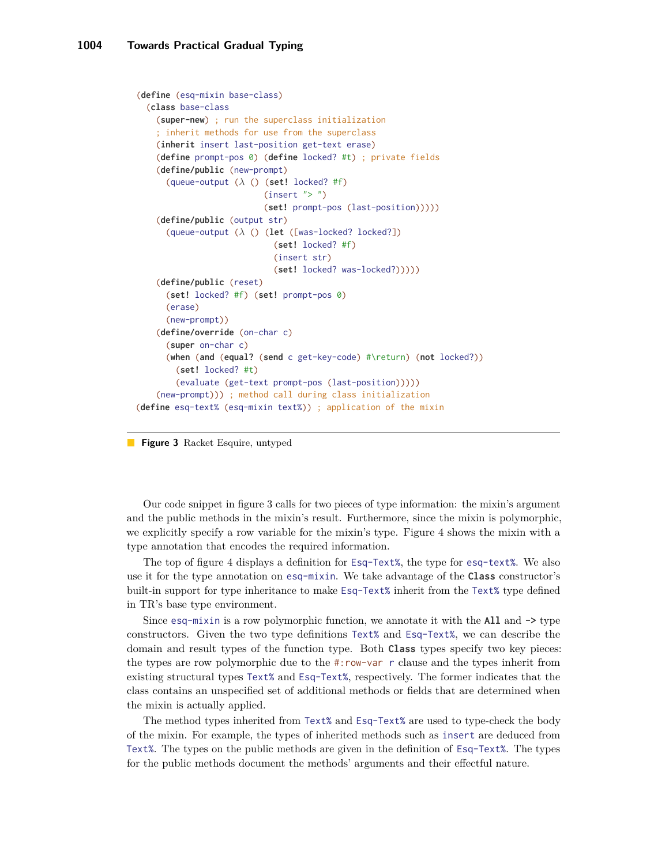```
(define (esq-mixin base-class)
  (class base-class
    (super-new) ; run the superclass initialization
    ; inherit methods for use from the superclass
    (inherit insert last-position get-text erase)
    (define prompt-pos 0) (define locked? #t) ; private fields
    (define/public (new-prompt)
      (queue-output (λ () (set! locked? #f)
                          (inset " > " )(set! prompt-pos (last-position)))))
    (define/public (output str)
      (queue-output (λ () (let ([was-locked? locked?])
                            (set! locked? #f)
                            (insert str)
                            (set! locked? was-locked?)))))
    (define/public (reset)
      (set! locked? #f) (set! prompt-pos 0)
      (erase)
      (new-prompt))
    (define/override (on-char c)
      (super on-char c)
      (when (and (equal? (send c get-key-code) #\return) (not locked?))
        (set! locked? #t)
        (evaluate (get-text prompt-pos (last-position)))))
    (new-prompt))) ; method call during class initialization
(define esq-text% (esq-mixin text%)) ; application of the mixin
```
**Figure 3** Racket Esquire, untyped

Our code snippet in figure [3](#page-5-0) calls for two pieces of type information: the mixin's argument and the public methods in the mixin's result. Furthermore, since the mixin is polymorphic, we explicitly specify a row variable for the mixin's type. Figure [4](#page-6-0) shows the mixin with a type annotation that encodes the required information.

The top of figure [4](#page-6-0) displays a definition for Esq-Text%, the type for esq-text%. We also use it for the type annotation on esq-mixin. We take advantage of the Class constructor's built-in support for type inheritance to make Esq-Text% inherit from the Text% type defined in TR's base type environment.

Since esq-mixin is a row polymorphic function, we annotate it with the  $All$  and  $\rightarrow$  type constructors. Given the two type definitions Text% and Esq-Text%, we can describe the domain and result types of the function type. Both Class types specify two key pieces: the types are row polymorphic due to the #:row-var r clause and the types inherit from existing structural types Text% and Esq-Text%, respectively. The former indicates that the class contains an unspecified set of additional methods or fields that are determined when the mixin is actually applied.

The method types inherited from Text% and Esq-Text% are used to type-check the body of the mixin. For example, the types of inherited methods such as insert are deduced from Text%. The types on the public methods are given in the definition of Esq-Text%. The types for the public methods document the methods' arguments and their effectful nature.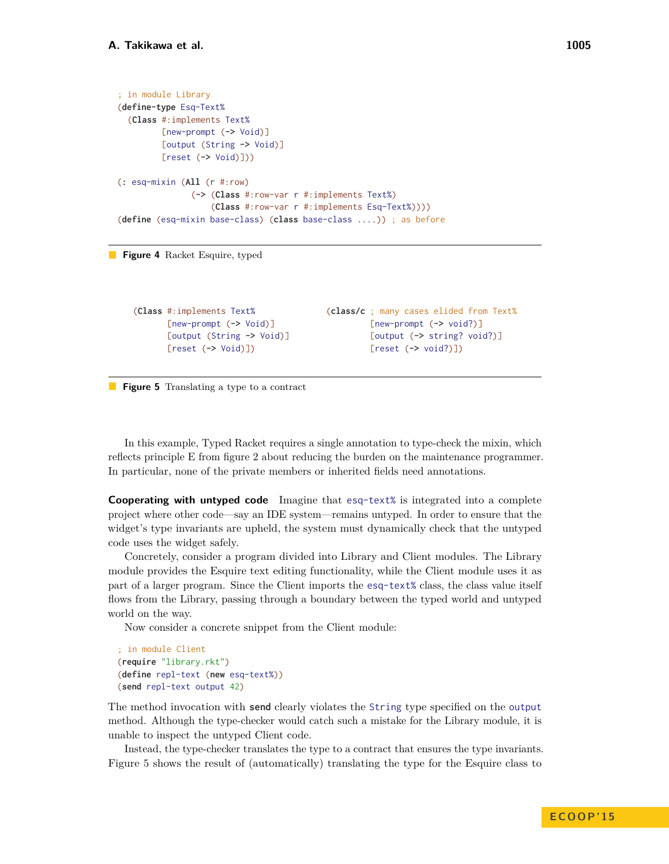```
; in module Library
(define-type Esq-Text%
  (Class #:implements Text%
         [new-prompt (-> Void)]
         [output (String -> Void)]
         [reset (-> Void)]))
(: esq-mixin (All (r #:row)
               (-> (Class #:row-var r #:implements Text%)
                   (Class #:row-var r #:implements Esq-Text%))))
(define (esq-mixin base-class) (class base-class ....)) ; as before
```


```
(Class #:implements Text%
       [new-prompt (-> Void)]
       [output (String -> Void)]
       [reset (-> Void)])
```

```
(class/c ; many cases elided from Text%
         [new-prompt (-> void?)]
         [output (-> string? void?)]
         [reset (-> void?)])
```
**Figure 5** Translating a type to a contract

In this example, Typed Racket requires a single annotation to type-check the mixin, which reflects principle E from figure [2](#page-2-0) about reducing the burden on the maintenance programmer. In particular, none of the private members or inherited fields need annotations.

**Cooperating with untyped code** Imagine that esq-text% is integrated into a complete project where other code—say an IDE system—remains untyped. In order to ensure that the widget's type invariants are upheld, the system must dynamically check that the untyped code uses the widget safely.

Concretely, consider a program divided into Library and Client modules. The Library module provides the Esquire text editing functionality, while the Client module uses it as part of a larger program. Since the Client imports the esq-text% class, the class value itself flows from the Library, passing through a boundary between the typed world and untyped world on the way.

Now consider a concrete snippet from the Client module:

```
; in module Client
(require "library.rkt")
(define repl-text (new esq-text%))
(send repl-text output 42)
```
The method invocation with send clearly violates the String type specified on the output method. Although the type-checker would catch such a mistake for the Library module, it is unable to inspect the untyped Client code.

Instead, the type-checker translates the type to a contract that ensures the type invariants. Figure [5](#page-6-1) shows the result of (automatically) translating the type for the Esquire class to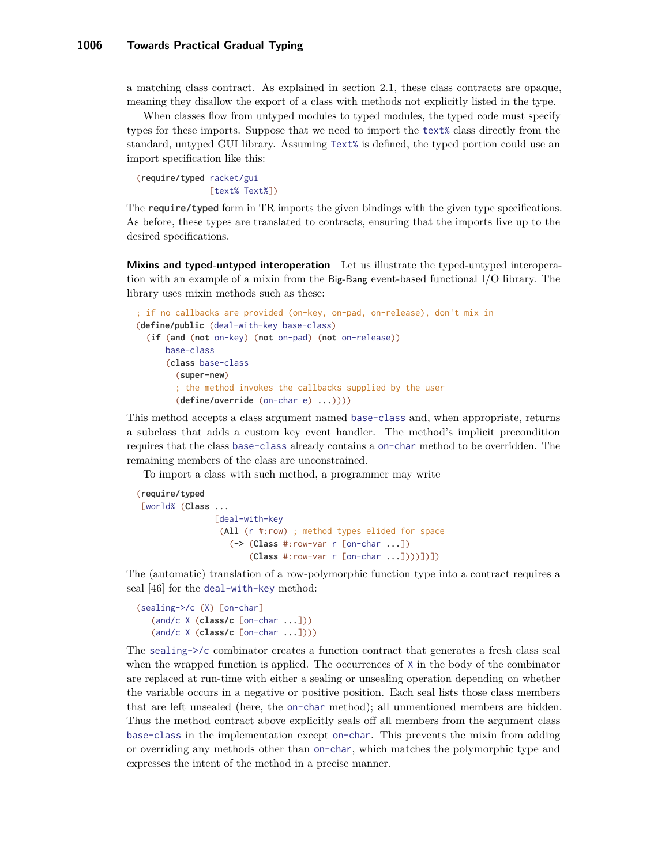a matching class contract. As explained in [section 2.1,](#page-2-1) these class contracts are opaque, meaning they disallow the export of a class with methods not explicitly listed in the type.

When classes flow from untyped modules to typed modules, the typed code must specify types for these imports. Suppose that we need to import the text% class directly from the standard, untyped GUI library. Assuming Text% is defined, the typed portion could use an import specification like this:

(require/typed racket/gui [text% Text%])

The require/typed form in TR imports the given bindings with the given type specifications. As before, these types are translated to contracts, ensuring that the imports live up to the desired specifications.

**Mixins and typed-untyped interoperation** Let us illustrate the typed-untyped interoperation with an example of a mixin from the Big-Bang event-based functional I/O library. The library uses mixin methods such as these:

```
; if no callbacks are provided (on-key, on-pad, on-release), don't mix in
(define/public (deal-with-key base-class)
  (if (and (not on-key) (not on-pad) (not on-release))
     base-class
      (class base-class
        (super-new)
        ; the method invokes the callbacks supplied by the user
        (define/override (on-char e) ...))))
```
This method accepts a class argument named base-class and, when appropriate, returns a subclass that adds a custom key event handler. The method's implicit precondition requires that the class base-class already contains a on-char method to be overridden. The remaining members of the class are unconstrained.

To import a class with such method, a programmer may write

```
(require/typed
[world% (Class ...
                [deal-with-key
                 (All (r #:row) ; method types elided for space
                   (-> (Class #:row-var r [on-char ...])
                       (Class #:row-var r [on-char ...])))])])
```
The (automatic) translation of a row-polymorphic function type into a contract requires a seal [46] for the deal-with-key method:

```
(sealing->/c (X) [on-char]
   (and/c X (class/c [on-char ...]))
   (and/c X (class/c [on-char ...]))
```
The sealing->/c combinator creates a function contract that generates a fresh class seal when the wrapped function is applied. The occurrences of  $X$  in the body of the combinator are replaced at run-time with either a sealing or unsealing operation depending on whether the variable occurs in a negative or positive position. Each seal lists those class members that are left unsealed (here, the on-char method); all unmentioned members are hidden. Thus the method contract above explicitly seals off all members from the argument class base-class in the implementation except on-char. This prevents the mixin from adding or overriding any methods other than on-char, which matches the polymorphic type and expresses the intent of the method in a precise manner.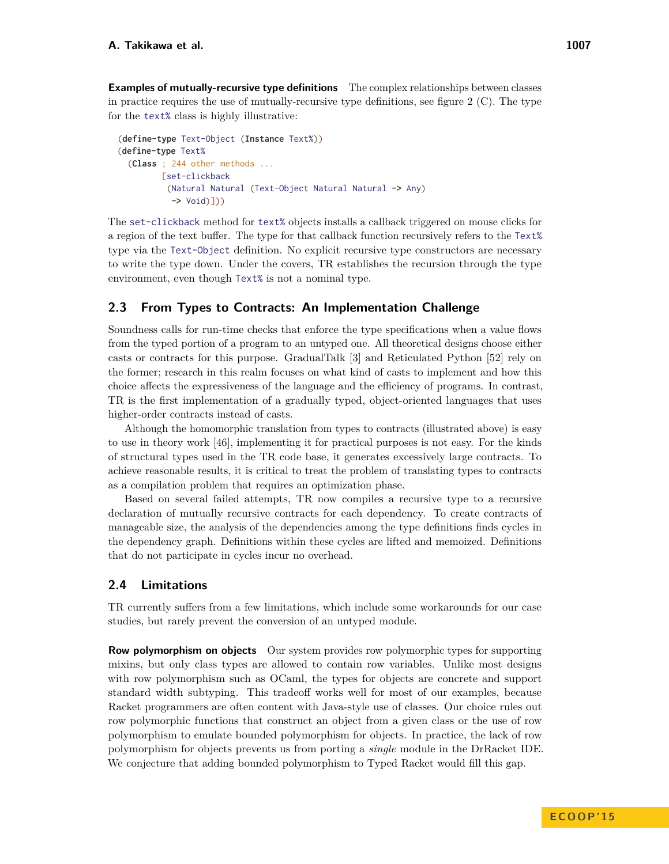**Examples of mutually-recursive type definitions** The complex relationships between classes in practice requires the use of mutually-recursive type definitions, see figure [2](#page-2-0) (C). The type for the text% class is highly illustrative:

```
(define-type Text-Object (Instance Text%))
(define-type Text%
  (Class ; 244 other methods ...
         [set-clickback
          (Natural Natural (Text-Object Natural Natural -> Any)
           -> Void)]))
```
The set-clickback method for text% objects installs a callback triggered on mouse clicks for a region of the text buffer. The type for that callback function recursively refers to the Text% type via the Text-Object definition. No explicit recursive type constructors are necessary to write the type down. Under the covers, TR establishes the recursion through the type environment, even though Text% is not a nominal type.

# **2.3 From Types to Contracts: An Implementation Challenge**

Soundness calls for run-time checks that enforce the type specifications when a value flows from the typed portion of a program to an untyped one. All theoretical designs choose either casts or contracts for this purpose. GradualTalk [3] and Reticulated Python [52] rely on the former; research in this realm focuses on what kind of casts to implement and how this choice affects the expressiveness of the language and the efficiency of programs. In contrast, TR is the first implementation of a gradually typed, object-oriented languages that uses higher-order contracts instead of casts.

Although the homomorphic translation from types to contracts (illustrated above) is easy to use in theory work [46], implementing it for practical purposes is not easy. For the kinds of structural types used in the TR code base, it generates excessively large contracts. To achieve reasonable results, it is critical to treat the problem of translating types to contracts as a compilation problem that requires an optimization phase.

Based on several failed attempts, TR now compiles a recursive type to a recursive declaration of mutually recursive contracts for each dependency. To create contracts of manageable size, the analysis of the dependencies among the type definitions finds cycles in the dependency graph. Definitions within these cycles are lifted and memoized. Definitions that do not participate in cycles incur no overhead.

# **2.4 Limitations**

TR currently suffers from a few limitations, which include some workarounds for our case studies, but rarely prevent the conversion of an untyped module.

**Row polymorphism on objects** Our system provides row polymorphic types for supporting mixins, but only class types are allowed to contain row variables. Unlike most designs with row polymorphism such as OCaml, the types for objects are concrete and support standard width subtyping. This tradeoff works well for most of our examples, because Racket programmers are often content with Java-style use of classes. Our choice rules out row polymorphic functions that construct an object from a given class or the use of row polymorphism to emulate bounded polymorphism for objects. In practice, the lack of row polymorphism for objects prevents us from porting a *single* module in the DrRacket IDE. We conjecture that adding bounded polymorphism to Typed Racket would fill this gap.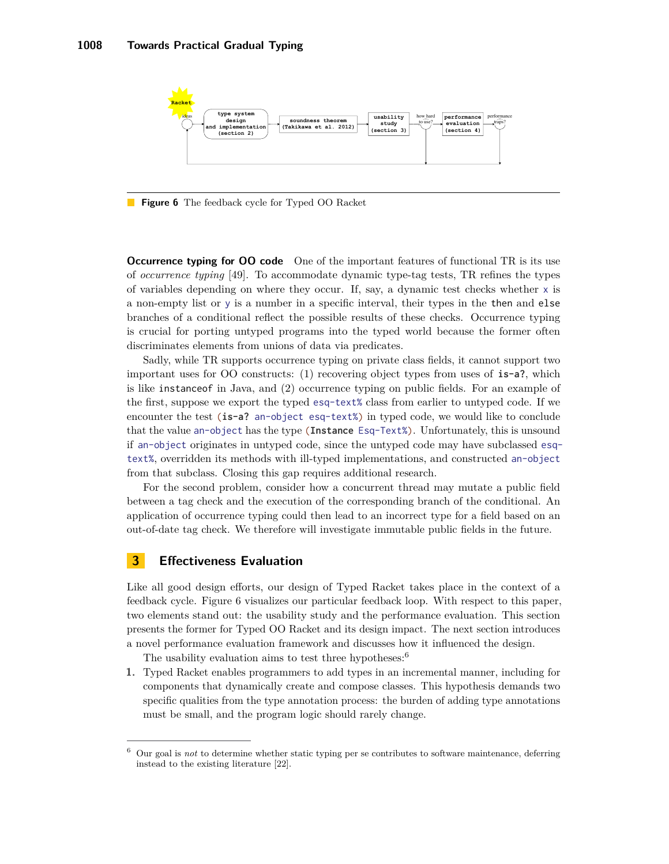<span id="page-9-1"></span>

**Figure 6** The feedback cycle for Typed OO Racket

**Occurrence typing for OO code** One of the important features of functional TR is its use of *occurrence typing* [49]. To accommodate dynamic type-tag tests, TR refines the types of variables depending on where they occur. If, say, a dynamic test checks whether  $x$  is a non-empty list or y is a number in a specific interval, their types in the then and else branches of a conditional reflect the possible results of these checks. Occurrence typing is crucial for porting untyped programs into the typed world because the former often discriminates elements from unions of data via predicates.

Sadly, while TR supports occurrence typing on private class fields, it cannot support two important uses for OO constructs: (1) recovering object types from uses of is-a?, which is like instanceof in Java, and (2) occurrence typing on public fields. For an example of the first, suppose we export the typed esq-text% class from earlier to untyped code. If we encounter the test (is-a? an-object esq-text%) in typed code, we would like to conclude that the value an-object has the type (Instance Esq-Text%). Unfortunately, this is unsound if an-object originates in untyped code, since the untyped code may have subclassed esqtext%, overridden its methods with ill-typed implementations, and constructed an-object from that subclass. Closing this gap requires additional research.

For the second problem, consider how a concurrent thread may mutate a public field between a tag check and the execution of the corresponding branch of the conditional. An application of occurrence typing could then lead to an incorrect type for a field based on an out-of-date tag check. We therefore will investigate immutable public fields in the future.

# <span id="page-9-0"></span>**3 Effectiveness Evaluation**

Like all good design efforts, our design of Typed Racket takes place in the context of a feedback cycle. Figure [6](#page-9-1) visualizes our particular feedback loop. With respect to this paper, two elements stand out: the usability study and the performance evaluation. This section presents the former for Typed OO Racket and its design impact. The next section introduces a novel performance evaluation framework and discusses how it influenced the design.

The usability evaluation aims to test three hypotheses:<sup>[6](#page-9-2)</sup>

**1.** Typed Racket enables programmers to add types in an incremental manner, including for components that dynamically create and compose classes. This hypothesis demands two specific qualities from the type annotation process: the burden of adding type annotations must be small, and the program logic should rarely change.

<span id="page-9-2"></span><sup>6</sup> Our goal is *not* to determine whether static typing per se contributes to software maintenance, deferring instead to the existing literature [22].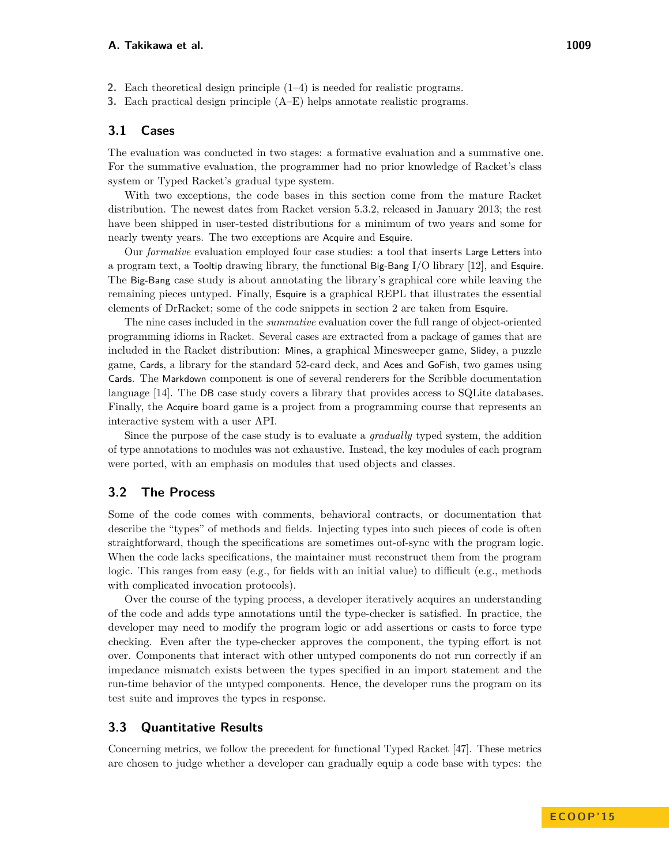- **2.** Each theoretical design principle (1–4) is needed for realistic programs.
- **3.** Each practical design principle (A–E) helps annotate realistic programs.

#### **3.1 Cases**

The evaluation was conducted in two stages: a formative evaluation and a summative one. For the summative evaluation, the programmer had no prior knowledge of Racket's class system or Typed Racket's gradual type system.

With two exceptions, the code bases in this section come from the mature Racket distribution. The newest dates from Racket version 5.3.2, released in January 2013; the rest have been shipped in user-tested distributions for a minimum of two years and some for nearly twenty years. The two exceptions are Acquire and Esquire.

Our *formative* evaluation employed four case studies: a tool that inserts Large Letters into a program text, a Tooltip drawing library, the functional Big-Bang I/O library [12], and Esquire. The Big-Bang case study is about annotating the library's graphical core while leaving the remaining pieces untyped. Finally, Esquire is a graphical REPL that illustrates the essential elements of DrRacket; some of the code snippets in [section 2](#page-1-3) are taken from Esquire.

The nine cases included in the *summative* evaluation cover the full range of object-oriented programming idioms in Racket. Several cases are extracted from a package of games that are included in the Racket distribution: Mines, a graphical Minesweeper game, Slidey, a puzzle game, Cards, a library for the standard 52-card deck, and Aces and GoFish, two games using Cards. The Markdown component is one of several renderers for the Scribble documentation language [14]. The DB case study covers a library that provides access to SQLite databases. Finally, the Acquire board game is a project from a programming course that represents an interactive system with a user API.

Since the purpose of the case study is to evaluate a *gradually* typed system, the addition of type annotations to modules was not exhaustive. Instead, the key modules of each program were ported, with an emphasis on modules that used objects and classes.

# **3.2 The Process**

Some of the code comes with comments, behavioral contracts, or documentation that describe the "types" of methods and fields. Injecting types into such pieces of code is often straightforward, though the specifications are sometimes out-of-sync with the program logic. When the code lacks specifications, the maintainer must reconstruct them from the program logic. This ranges from easy (e.g., for fields with an initial value) to difficult (e.g., methods with complicated invocation protocols).

Over the course of the typing process, a developer iteratively acquires an understanding of the code and adds type annotations until the type-checker is satisfied. In practice, the developer may need to modify the program logic or add assertions or casts to force type checking. Even after the type-checker approves the component, the typing effort is not over. Components that interact with other untyped components do not run correctly if an impedance mismatch exists between the types specified in an import statement and the run-time behavior of the untyped components. Hence, the developer runs the program on its test suite and improves the types in response.

#### **3.3 Quantitative Results**

Concerning metrics, we follow the precedent for functional Typed Racket [47]. These metrics are chosen to judge whether a developer can gradually equip a code base with types: the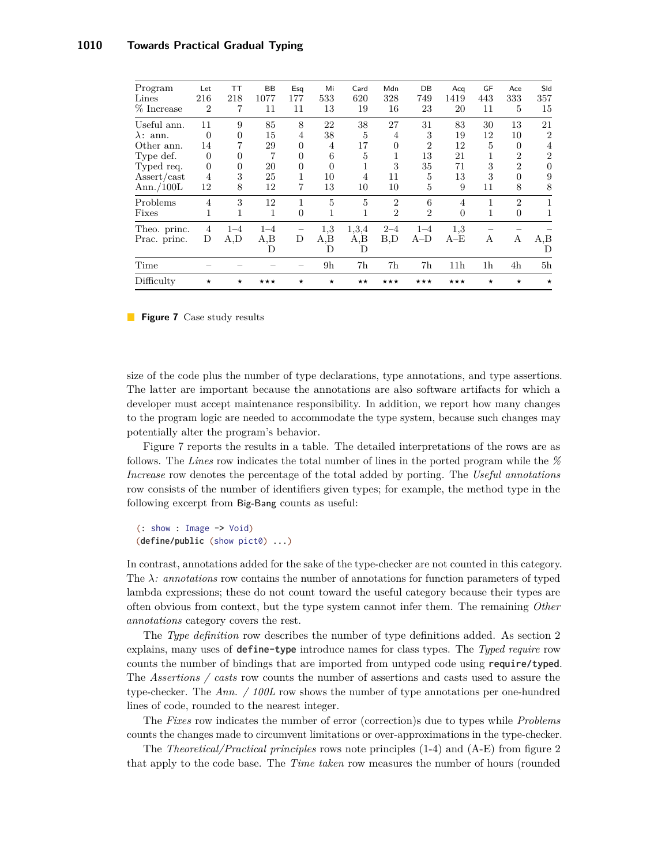<span id="page-11-0"></span>

| Time<br>Difficulty                          | $\star$        | $\star$        | $***$   | $\star$        | 9 <sub>h</sub><br>$\star$ | 7h<br>$\star\star$ | 7h<br>$***$    | 7h<br>$***$    | 11 <sub>h</sub><br>$***$ | 1 <sup>h</sup><br>$\star$ | 4h<br>$\star$  | 5h<br>$\star$  |
|---------------------------------------------|----------------|----------------|---------|----------------|---------------------------|--------------------|----------------|----------------|--------------------------|---------------------------|----------------|----------------|
|                                             |                |                | D       |                | D                         | D                  |                |                |                          |                           |                | D              |
| Prac. princ.                                | D              | A, D           | A,B     | D              | A,B                       | A,B                | B.D            | $A-D$          | $A-E$                    | A                         | А              | A,B            |
| Theo. princ.                                | 4              | $1 - 4$        | $1 - 4$ |                | 1,3                       | 1,3,4              | $2 - 4$        | $1 - 4$        | 1,3                      |                           |                |                |
| Fixes                                       | 1              | 1              | 1       | $\overline{0}$ | 1                         | 1                  | $\overline{2}$ | $\overline{2}$ | $\Omega$                 | 1                         | $\theta$       |                |
| Problems                                    | $\overline{4}$ | 3              | 12      | 1              | 5                         | 5                  | $\overline{2}$ | 6              | $\overline{4}$           | 1                         | $\overline{2}$ |                |
| Ann./ $100L$                                | 12             | 8              | 12      | 7              | 13                        | 10                 | 10             | 5              | 9                        | 11                        | 8              | 8              |
| $\operatorname{assert}/\operatorname{cast}$ | $\overline{4}$ | 3              | 25      |                | 10                        | $\overline{4}$     | 11             | 5              | 13                       | 3                         | $\Omega$       | 9              |
| Typed req.                                  | $\Omega$       | $\overline{0}$ | 20      | $\theta$       | 0                         |                    | 3              | 35             | 71                       | 3                         | $\overline{2}$ | $\Omega$       |
| Type def.                                   | $\Omega$       | $\Omega$       | 7       | $\Omega$       | 6                         | 5                  | 1              | 13             | 21                       | 1                         | $\overline{2}$ | $\overline{2}$ |
| Other ann.                                  | 14             |                | 29      | $\Omega$       | 4                         | 17                 | $\theta$       | $\overline{2}$ | 12                       | 5                         | $\Omega$       | 4              |
| $\lambda$ : ann.                            | $\Omega$       | $\Omega$       | 15      | 4              | 38                        | 5                  | 4              | 3              | 19                       | 12                        | 10             | $\overline{2}$ |
| Useful ann.                                 | 11             | 9              | 85      | 8              | 22                        | 38                 | 27             | 31             | 83                       | 30                        | 13             | 21             |
| % Increase                                  | $\overline{2}$ | 7              | 11      | 11             | 13                        | 19                 | 16             | 23             | 20                       | 11                        | 5              | 15             |
| Lines                                       | 216            | 218            | 1077    | 177            | 533                       | 620                | 328            | 749            | 1419                     | 443                       | 333            | 357            |
| Program                                     | Let            | ТT             | ΒB      | Esq            | Mi                        | Card               | Mdn            | DB             | Acq                      | GF                        | Ace            | Sld            |

**Figure 7** Case study results

size of the code plus the number of type declarations, type annotations, and type assertions. The latter are important because the annotations are also software artifacts for which a developer must accept maintenance responsibility. In addition, we report how many changes to the program logic are needed to accommodate the type system, because such changes may potentially alter the program's behavior.

Figure [7](#page-11-0) reports the results in a table. The detailed interpretations of the rows are as follows. The *Lines* row indicates the total number of lines in the ported program while the *% Increase* row denotes the percentage of the total added by porting. The *Useful annotations* row consists of the number of identifiers given types; for example, the method type in the following excerpt from Big-Bang counts as useful:

```
(: show : Image -> Void)
(define/public (show pict0) ...)
```
In contrast, annotations added for the sake of the type-checker are not counted in this category. The  $\lambda$ : annotations row contains the number of annotations for function parameters of typed lambda expressions; these do not count toward the useful category because their types are often obvious from context, but the type system cannot infer them. The remaining *Other annotations* category covers the rest.

The *Type definition* row describes the number of type definitions added. As [section 2](#page-1-3) explains, many uses of define-type introduce names for class types. The *Typed require* row counts the number of bindings that are imported from untyped code using require/typed. The *Assertions / casts* row counts the number of assertions and casts used to assure the type-checker. The *Ann. / 100L* row shows the number of type annotations per one-hundred lines of code, rounded to the nearest integer.

The *Fixes* row indicates the number of error (correction)s due to types while *Problems* counts the changes made to circumvent limitations or over-approximations in the type-checker.

The *Theoretical/Practical principles* rows note principles (1-4) and (A-E) from figure [2](#page-2-0) that apply to the code base. The *Time taken* row measures the number of hours (rounded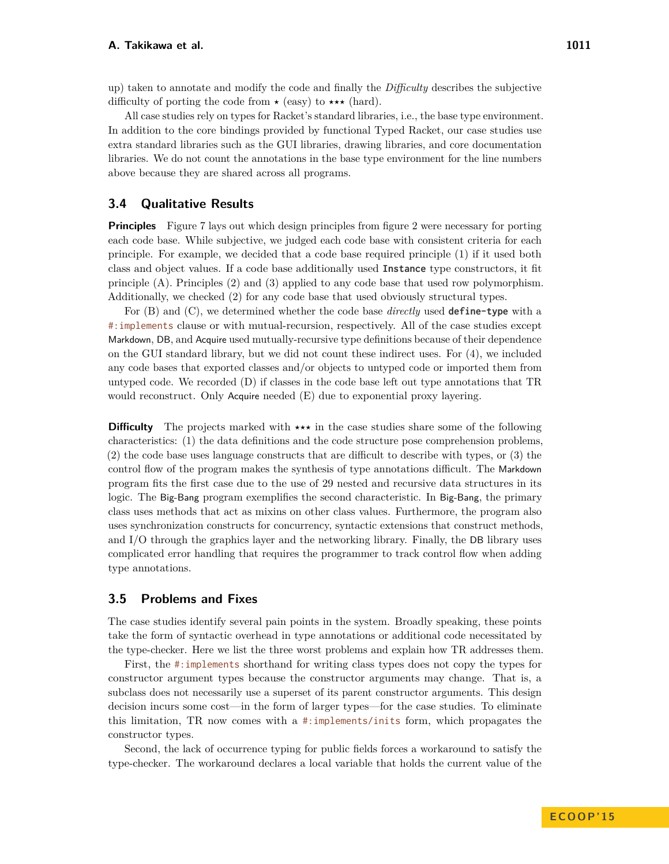up) taken to annotate and modify the code and finally the *Difficulty* describes the subjective difficulty of porting the code from  $\star$  (easy) to  $\star \star \star$  (hard).

All case studies rely on types for Racket's standard libraries, i.e., the base type environment. In addition to the core bindings provided by functional Typed Racket, our case studies use extra standard libraries such as the GUI libraries, drawing libraries, and core documentation libraries. We do not count the annotations in the base type environment for the line numbers above because they are shared across all programs.

# **3.4 Qualitative Results**

**Principles** Figure [7](#page-11-0) lays out which design principles from figure [2](#page-2-0) were necessary for porting each code base. While subjective, we judged each code base with consistent criteria for each principle. For example, we decided that a code base required principle (1) if it used both class and object values. If a code base additionally used Instance type constructors, it fit principle (A). Principles (2) and (3) applied to any code base that used row polymorphism. Additionally, we checked (2) for any code base that used obviously structural types.

For (B) and (C), we determined whether the code base *directly* used define-type with a #:implements clause or with mutual-recursion, respectively. All of the case studies except Markdown, DB, and Acquire used mutually-recursive type definitions because of their dependence on the GUI standard library, but we did not count these indirect uses. For (4), we included any code bases that exported classes and/or objects to untyped code or imported them from untyped code. We recorded (D) if classes in the code base left out type annotations that TR would reconstruct. Only Acquire needed (E) due to exponential proxy layering.

**Difficulty** The projects marked with  $\star \star \star$  in the case studies share some of the following characteristics: (1) the data definitions and the code structure pose comprehension problems, (2) the code base uses language constructs that are difficult to describe with types, or (3) the control flow of the program makes the synthesis of type annotations difficult. The Markdown program fits the first case due to the use of 29 nested and recursive data structures in its logic. The Big-Bang program exemplifies the second characteristic. In Big-Bang, the primary class uses methods that act as mixins on other class values. Furthermore, the program also uses synchronization constructs for concurrency, syntactic extensions that construct methods, and I/O through the graphics layer and the networking library. Finally, the DB library uses complicated error handling that requires the programmer to track control flow when adding type annotations.

#### **3.5 Problems and Fixes**

The case studies identify several pain points in the system. Broadly speaking, these points take the form of syntactic overhead in type annotations or additional code necessitated by the type-checker. Here we list the three worst problems and explain how TR addresses them.

First, the #:implements shorthand for writing class types does not copy the types for constructor argument types because the constructor arguments may change. That is, a subclass does not necessarily use a superset of its parent constructor arguments. This design decision incurs some cost—in the form of larger types—for the case studies. To eliminate this limitation, TR now comes with a #:implements/inits form, which propagates the constructor types.

Second, the lack of occurrence typing for public fields forces a workaround to satisfy the type-checker. The workaround declares a local variable that holds the current value of the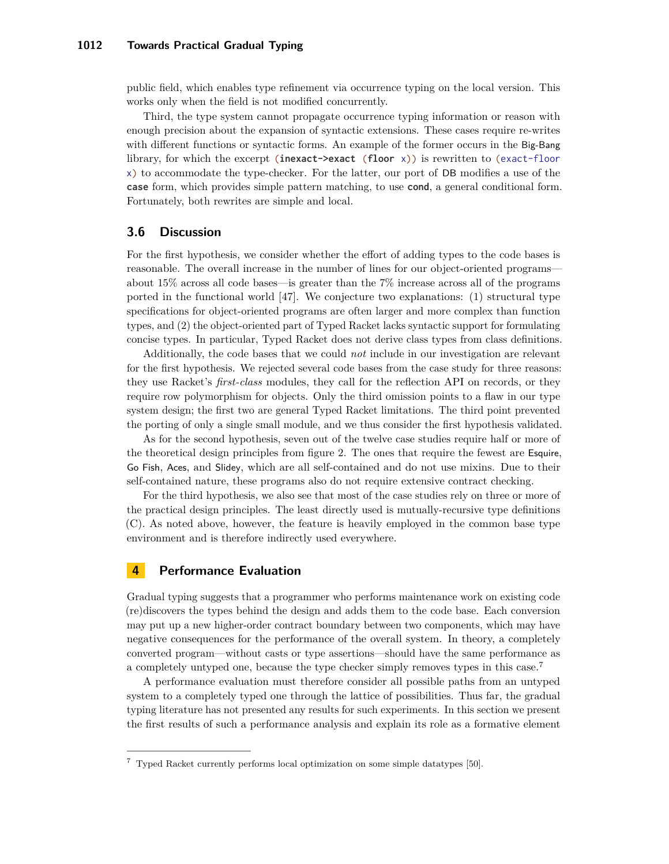public field, which enables type refinement via occurrence typing on the local version. This works only when the field is not modified concurrently.

Third, the type system cannot propagate occurrence typing information or reason with enough precision about the expansion of syntactic extensions. These cases require re-writes with different functions or syntactic forms. An example of the former occurs in the Big-Bang library, for which the excerpt (inexact- $\text{?}$  >  $\text{?}$  (floor x)) is rewritten to (exact-floor x) to accommodate the type-checker. For the latter, our port of DB modifies a use of the case form, which provides simple pattern matching, to use cond, a general conditional form. Fortunately, both rewrites are simple and local.

#### **3.6 Discussion**

For the first hypothesis, we consider whether the effort of adding types to the code bases is reasonable. The overall increase in the number of lines for our object-oriented programs about 15% across all code bases—is greater than the 7% increase across all of the programs ported in the functional world  $[47]$ . We conjecture two explanations: (1) structural type specifications for object-oriented programs are often larger and more complex than function types, and (2) the object-oriented part of Typed Racket lacks syntactic support for formulating concise types. In particular, Typed Racket does not derive class types from class definitions.

Additionally, the code bases that we could *not* include in our investigation are relevant for the first hypothesis. We rejected several code bases from the case study for three reasons: they use Racket's *first-class* modules, they call for the reflection API on records, or they require row polymorphism for objects. Only the third omission points to a flaw in our type system design; the first two are general Typed Racket limitations. The third point prevented the porting of only a single small module, and we thus consider the first hypothesis validated.

As for the second hypothesis, seven out of the twelve case studies require half or more of the theoretical design principles from figure [2.](#page-2-0) The ones that require the fewest are Esquire, Go Fish, Aces, and Slidey, which are all self-contained and do not use mixins. Due to their self-contained nature, these programs also do not require extensive contract checking.

For the third hypothesis, we also see that most of the case studies rely on three or more of the practical design principles. The least directly used is mutually-recursive type definitions (C). As noted above, however, the feature is heavily employed in the common base type environment and is therefore indirectly used everywhere.

# **4 Performance Evaluation**

Gradual typing suggests that a programmer who performs maintenance work on existing code (re)discovers the types behind the design and adds them to the code base. Each conversion may put up a new higher-order contract boundary between two components, which may have negative consequences for the performance of the overall system. In theory, a completely converted program—without casts or type assertions—should have the same performance as a completely untyped one, because the type checker simply removes types in this case.[7](#page-13-0)

A performance evaluation must therefore consider all possible paths from an untyped system to a completely typed one through the lattice of possibilities. Thus far, the gradual typing literature has not presented any results for such experiments. In this section we present the first results of such a performance analysis and explain its role as a formative element

<span id="page-13-0"></span><sup>7</sup> Typed Racket currently performs local optimization on some simple datatypes [50].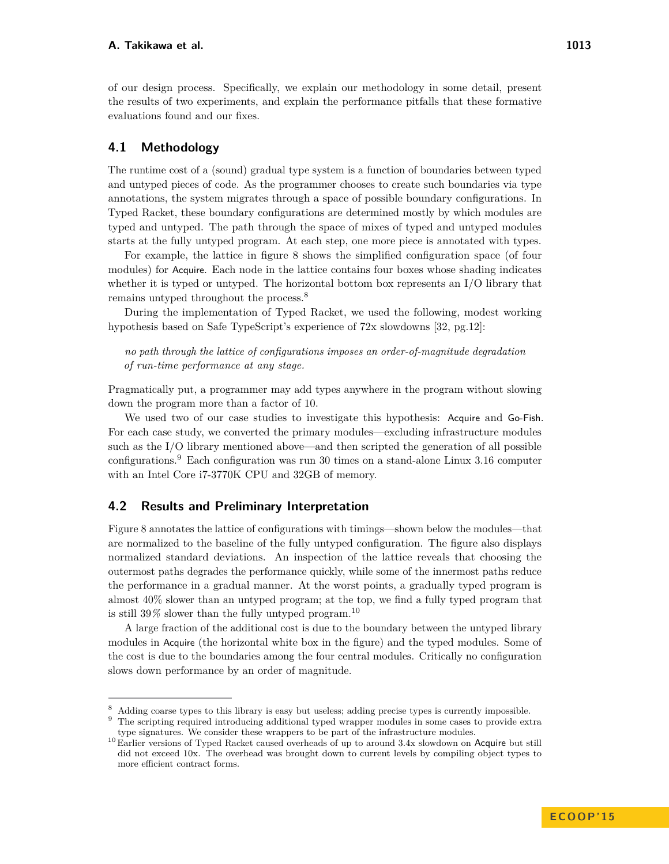of our design process. Specifically, we explain our methodology in some detail, present the results of two experiments, and explain the performance pitfalls that these formative evaluations found and our fixes.

# **4.1 Methodology**

The runtime cost of a (sound) gradual type system is a function of boundaries between typed and untyped pieces of code. As the programmer chooses to create such boundaries via type annotations, the system migrates through a space of possible boundary configurations. In Typed Racket, these boundary configurations are determined mostly by which modules are typed and untyped. The path through the space of mixes of typed and untyped modules starts at the fully untyped program. At each step, one more piece is annotated with types.

For example, the lattice in figure [8](#page-15-0) shows the simplified configuration space (of four modules) for Acquire. Each node in the lattice contains four boxes whose shading indicates whether it is typed or untyped. The horizontal bottom box represents an I/O library that remains untyped throughout the process.[8](#page-14-0)

During the implementation of Typed Racket, we used the following, modest working hypothesis based on Safe TypeScript's experience of 72x slowdowns [32, pg.12]:

*no path through the lattice of configurations imposes an order-of-magnitude degradation of run-time performance at any stage.*

Pragmatically put, a programmer may add types anywhere in the program without slowing down the program more than a factor of 10.

We used two of our case studies to investigate this hypothesis: Acquire and Go-Fish. For each case study, we converted the primary modules—excluding infrastructure modules such as the I/O library mentioned above—and then scripted the generation of all possible configurations.[9](#page-14-1) Each configuration was run 30 times on a stand-alone Linux 3.16 computer with an Intel Core i7-3770K CPU and 32GB of memory.

# **4.2 Results and Preliminary Interpretation**

Figure [8](#page-15-0) annotates the lattice of configurations with timings—shown below the modules—that are normalized to the baseline of the fully untyped configuration. The figure also displays normalized standard deviations. An inspection of the lattice reveals that choosing the outermost paths degrades the performance quickly, while some of the innermost paths reduce the performance in a gradual manner. At the worst points, a gradually typed program is almost 40% slower than an untyped program; at the top, we find a fully typed program that is still  $39\%$  slower than the fully untyped program.<sup>[10](#page-14-2)</sup>

A large fraction of the additional cost is due to the boundary between the untyped library modules in Acquire (the horizontal white box in the figure) and the typed modules. Some of the cost is due to the boundaries among the four central modules. Critically no configuration slows down performance by an order of magnitude.

<span id="page-14-0"></span><sup>8</sup> Adding coarse types to this library is easy but useless; adding precise types is currently impossible.

<span id="page-14-1"></span><sup>9</sup> The scripting required introducing additional typed wrapper modules in some cases to provide extra type signatures. We consider these wrappers to be part of the infrastructure modules.

<span id="page-14-2"></span><sup>&</sup>lt;sup>10</sup> Earlier versions of Typed Racket caused overheads of up to around 3.4x slowdown on Acquire but still did not exceed 10x. The overhead was brought down to current levels by compiling object types to more efficient contract forms.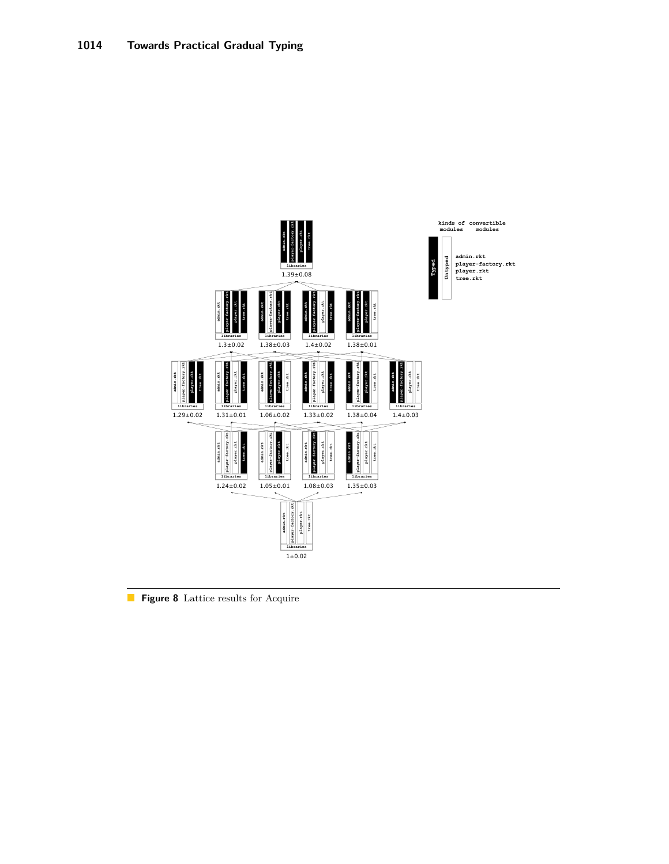<span id="page-15-0"></span>

Figure 8 Lattice results for Acquire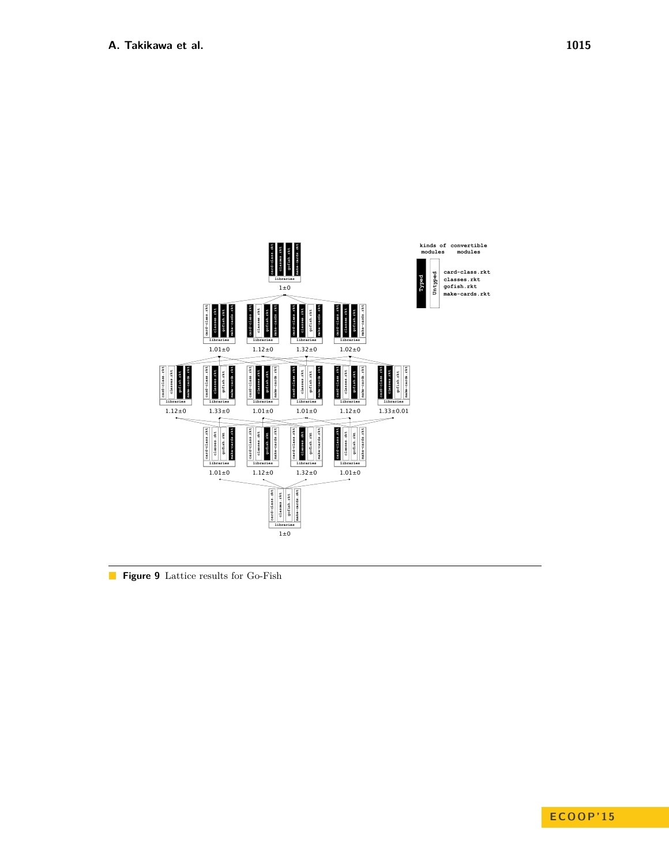<span id="page-16-0"></span>

Figure 9 Lattice results for Go-Fish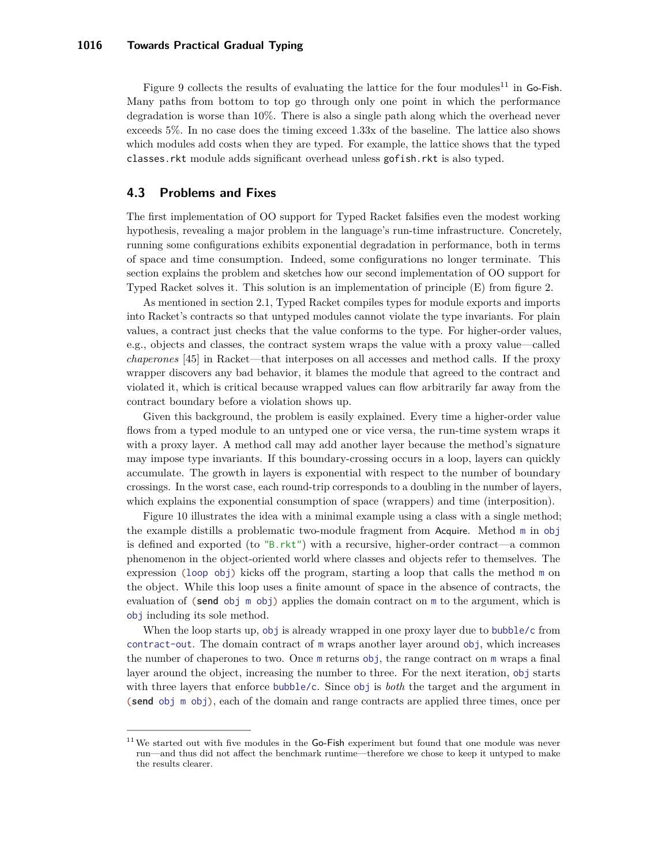#### **1016 Towards Practical Gradual Typing**

Figure [9](#page-16-0) collects the results of evaluating the lattice for the four modules<sup>[11](#page-17-1)</sup> in Go-Fish. Many paths from bottom to top go through only one point in which the performance degradation is worse than 10%. There is also a single path along which the overhead never exceeds 5%. In no case does the timing exceed 1.33x of the baseline. The lattice also shows which modules add costs when they are typed. For example, the lattice shows that the typed classes.rkt module adds significant overhead unless gofish.rkt is also typed.

#### <span id="page-17-0"></span>**4.3 Problems and Fixes**

The first implementation of OO support for Typed Racket falsifies even the modest working hypothesis, revealing a major problem in the language's run-time infrastructure. Concretely, running some configurations exhibits exponential degradation in performance, both in terms of space and time consumption. Indeed, some configurations no longer terminate. This section explains the problem and sketches how our second implementation of OO support for Typed Racket solves it. This solution is an implementation of principle (E) from figure [2.](#page-2-0)

As mentioned in [section 2.1,](#page-2-1) Typed Racket compiles types for module exports and imports into Racket's contracts so that untyped modules cannot violate the type invariants. For plain values, a contract just checks that the value conforms to the type. For higher-order values, e.g., objects and classes, the contract system wraps the value with a proxy value—called *chaperones* [45] in Racket—that interposes on all accesses and method calls. If the proxy wrapper discovers any bad behavior, it blames the module that agreed to the contract and violated it, which is critical because wrapped values can flow arbitrarily far away from the contract boundary before a violation shows up.

Given this background, the problem is easily explained. Every time a higher-order value flows from a typed module to an untyped one or vice versa, the run-time system wraps it with a proxy layer. A method call may add another layer because the method's signature may impose type invariants. If this boundary-crossing occurs in a loop, layers can quickly accumulate. The growth in layers is exponential with respect to the number of boundary crossings. In the worst case, each round-trip corresponds to a doubling in the number of layers, which explains the exponential consumption of space (wrappers) and time (interposition).

Figure [10](#page-18-0) illustrates the idea with a minimal example using a class with a single method; the example distills a problematic two-module fragment from Acquire. Method m in obj is defined and exported (to "B.rkt") with a recursive, higher-order contract—a common phenomenon in the object-oriented world where classes and objects refer to themselves. The expression (loop obj) kicks off the program, starting a loop that calls the method m on the object. While this loop uses a finite amount of space in the absence of contracts, the evaluation of (send obj  $m$  obj) applies the domain contract on  $m$  to the argument, which is obj including its sole method.

When the loop starts up, obj is already wrapped in one proxy layer due to bubble/c from contract-out. The domain contract of m wraps another layer around obj, which increases the number of chaperones to two. Once m returns obj, the range contract on m wraps a final layer around the object, increasing the number to three. For the next iteration, obj starts with three layers that enforce bubble/c. Since obj is *both* the target and the argument in (send obj m obj), each of the domain and range contracts are applied three times, once per

<span id="page-17-1"></span> $11$  We started out with five modules in the Go-Fish experiment but found that one module was never run—and thus did not affect the benchmark runtime—therefore we chose to keep it untyped to make the results clearer.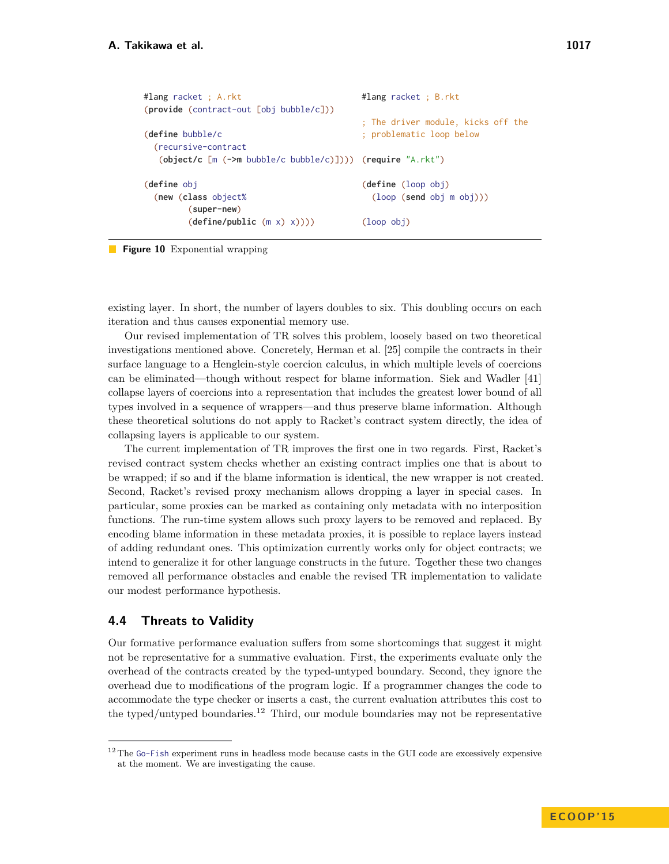<span id="page-18-0"></span>

| #lang racket ; B.rkt                                                  |  |  |  |  |
|-----------------------------------------------------------------------|--|--|--|--|
| ; The driver module, kicks off the                                    |  |  |  |  |
| ; problematic loop below                                              |  |  |  |  |
|                                                                       |  |  |  |  |
| $(object/c \ [m \ (-\nem) bubble/c \ bubble/c)])$ ) (require "A.rkt") |  |  |  |  |
|                                                                       |  |  |  |  |
| (define (loop obj)                                                    |  |  |  |  |
| $\left(\text{loop (send obi m obi)})\right)$                          |  |  |  |  |
|                                                                       |  |  |  |  |
| $(loop$ $obj)$                                                        |  |  |  |  |
|                                                                       |  |  |  |  |

**Figure 10** Exponential wrapping

existing layer. In short, the number of layers doubles to six. This doubling occurs on each iteration and thus causes exponential memory use.

Our revised implementation of TR solves this problem, loosely based on two theoretical investigations mentioned above. Concretely, Herman et al. [25] compile the contracts in their surface language to a Henglein-style coercion calculus, in which multiple levels of coercions can be eliminated—though without respect for blame information. Siek and Wadler [41] collapse layers of coercions into a representation that includes the greatest lower bound of all types involved in a sequence of wrappers—and thus preserve blame information. Although these theoretical solutions do not apply to Racket's contract system directly, the idea of collapsing layers is applicable to our system.

The current implementation of TR improves the first one in two regards. First, Racket's revised contract system checks whether an existing contract implies one that is about to be wrapped; if so and if the blame information is identical, the new wrapper is not created. Second, Racket's revised proxy mechanism allows dropping a layer in special cases. In particular, some proxies can be marked as containing only metadata with no interposition functions. The run-time system allows such proxy layers to be removed and replaced. By encoding blame information in these metadata proxies, it is possible to replace layers instead of adding redundant ones. This optimization currently works only for object contracts; we intend to generalize it for other language constructs in the future. Together these two changes removed all performance obstacles and enable the revised TR implementation to validate our modest performance hypothesis.

# **4.4 Threats to Validity**

Our formative performance evaluation suffers from some shortcomings that suggest it might not be representative for a summative evaluation. First, the experiments evaluate only the overhead of the contracts created by the typed-untyped boundary. Second, they ignore the overhead due to modifications of the program logic. If a programmer changes the code to accommodate the type checker or inserts a cast, the current evaluation attributes this cost to the typed/untyped boundaries.<sup>[12](#page-18-1)</sup> Third, our module boundaries may not be representative

<span id="page-18-1"></span><sup>&</sup>lt;sup>12</sup> The Go-Fish experiment runs in headless mode because casts in the GUI code are excessively expensive at the moment. We are investigating the cause.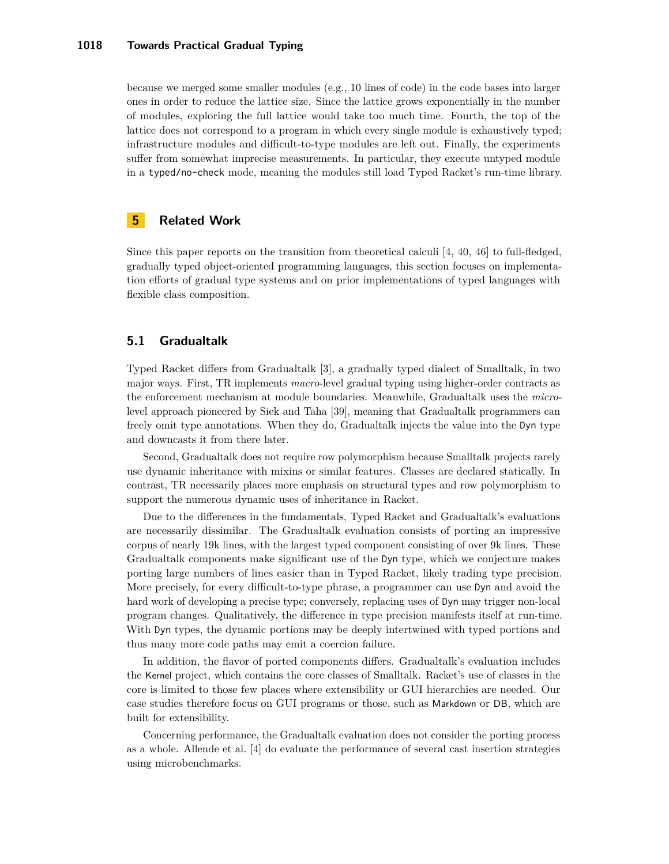because we merged some smaller modules (e.g., 10 lines of code) in the code bases into larger ones in order to reduce the lattice size. Since the lattice grows exponentially in the number of modules, exploring the full lattice would take too much time. Fourth, the top of the lattice does not correspond to a program in which every single module is exhaustively typed; infrastructure modules and difficult-to-type modules are left out. Finally, the experiments suffer from somewhat imprecise measurements. In particular, they execute untyped module in a typed/no-check mode, meaning the modules still load Typed Racket's run-time library.

# **5 Related Work**

Since this paper reports on the transition from theoretical calculi  $[4, 40, 46]$  to full-fledged, gradually typed object-oriented programming languages, this section focuses on implementation efforts of gradual type systems and on prior implementations of typed languages with flexible class composition.

# **5.1 Gradualtalk**

Typed Racket differs from Gradualtalk [3], a gradually typed dialect of Smalltalk, in two major ways. First, TR implements *macro*-level gradual typing using higher-order contracts as the enforcement mechanism at module boundaries. Meanwhile, Gradualtalk uses the *micro*level approach pioneered by Siek and Taha [39], meaning that Gradualtalk programmers can freely omit type annotations. When they do, Gradualtalk injects the value into the Dyn type and downcasts it from there later.

Second, Gradualtalk does not require row polymorphism because Smalltalk projects rarely use dynamic inheritance with mixins or similar features. Classes are declared statically. In contrast, TR necessarily places more emphasis on structural types and row polymorphism to support the numerous dynamic uses of inheritance in Racket.

Due to the differences in the fundamentals, Typed Racket and Gradualtalk's evaluations are necessarily dissimilar. The Gradualtalk evaluation consists of porting an impressive corpus of nearly 19k lines, with the largest typed component consisting of over 9k lines. These Gradualtalk components make significant use of the Dyn type, which we conjecture makes porting large numbers of lines easier than in Typed Racket, likely trading type precision. More precisely, for every difficult-to-type phrase, a programmer can use Dyn and avoid the hard work of developing a precise type; conversely, replacing uses of Dyn may trigger non-local program changes. Qualitatively, the difference in type precision manifests itself at run-time. With Dyn types, the dynamic portions may be deeply intertwined with typed portions and thus many more code paths may emit a coercion failure.

In addition, the flavor of ported components differs. Gradualtalk's evaluation includes the Kernel project, which contains the core classes of Smalltalk. Racket's use of classes in the core is limited to those few places where extensibility or GUI hierarchies are needed. Our case studies therefore focus on GUI programs or those, such as Markdown or DB, which are built for extensibility.

Concerning performance, the Gradualtalk evaluation does not consider the porting process as a whole. Allende et al. [4] do evaluate the performance of several cast insertion strategies using microbenchmarks.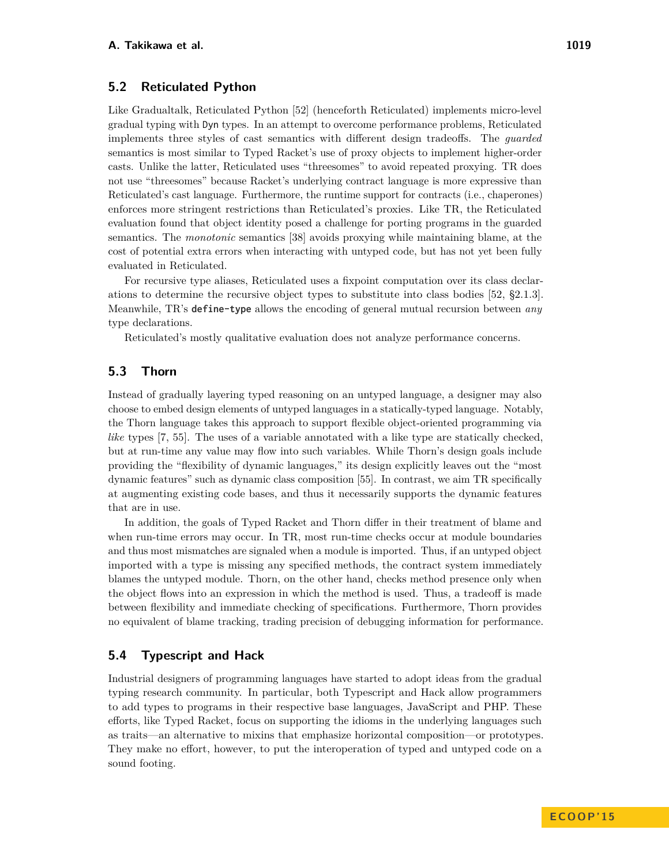#### **5.2 Reticulated Python**

Like Gradualtalk, Reticulated Python [52] (henceforth Reticulated) implements micro-level gradual typing with Dyn types. In an attempt to overcome performance problems, Reticulated implements three styles of cast semantics with different design tradeoffs. The *guarded* semantics is most similar to Typed Racket's use of proxy objects to implement higher-order casts. Unlike the latter, Reticulated uses "threesomes" to avoid repeated proxying. TR does not use "threesomes" because Racket's underlying contract language is more expressive than Reticulated's cast language. Furthermore, the runtime support for contracts (i.e., chaperones) enforces more stringent restrictions than Reticulated's proxies. Like TR, the Reticulated evaluation found that object identity posed a challenge for porting programs in the guarded semantics. The *monotonic* semantics [38] avoids proxying while maintaining blame, at the cost of potential extra errors when interacting with untyped code, but has not yet been fully evaluated in Reticulated.

For recursive type aliases, Reticulated uses a fixpoint computation over its class declarations to determine the recursive object types to substitute into class bodies [52, §2.1.3]. Meanwhile, TR's define-type allows the encoding of general mutual recursion between *any* type declarations.

Reticulated's mostly qualitative evaluation does not analyze performance concerns.

### **5.3 Thorn**

Instead of gradually layering typed reasoning on an untyped language, a designer may also choose to embed design elements of untyped languages in a statically-typed language. Notably, the Thorn language takes this approach to support flexible object-oriented programming via *like* types [7, 55]. The uses of a variable annotated with a like type are statically checked, but at run-time any value may flow into such variables. While Thorn's design goals include providing the "flexibility of dynamic languages," its design explicitly leaves out the "most dynamic features" such as dynamic class composition [55]. In contrast, we aim TR specifically at augmenting existing code bases, and thus it necessarily supports the dynamic features that are in use.

In addition, the goals of Typed Racket and Thorn differ in their treatment of blame and when run-time errors may occur. In TR, most run-time checks occur at module boundaries and thus most mismatches are signaled when a module is imported. Thus, if an untyped object imported with a type is missing any specified methods, the contract system immediately blames the untyped module. Thorn, on the other hand, checks method presence only when the object flows into an expression in which the method is used. Thus, a tradeoff is made between flexibility and immediate checking of specifications. Furthermore, Thorn provides no equivalent of blame tracking, trading precision of debugging information for performance.

# **5.4 Typescript and Hack**

Industrial designers of programming languages have started to adopt ideas from the gradual typing research community. In particular, both Typescript and Hack allow programmers to add types to programs in their respective base languages, JavaScript and PHP. These efforts, like Typed Racket, focus on supporting the idioms in the underlying languages such as traits—an alternative to mixins that emphasize horizontal composition—or prototypes. They make no effort, however, to put the interoperation of typed and untyped code on a sound footing.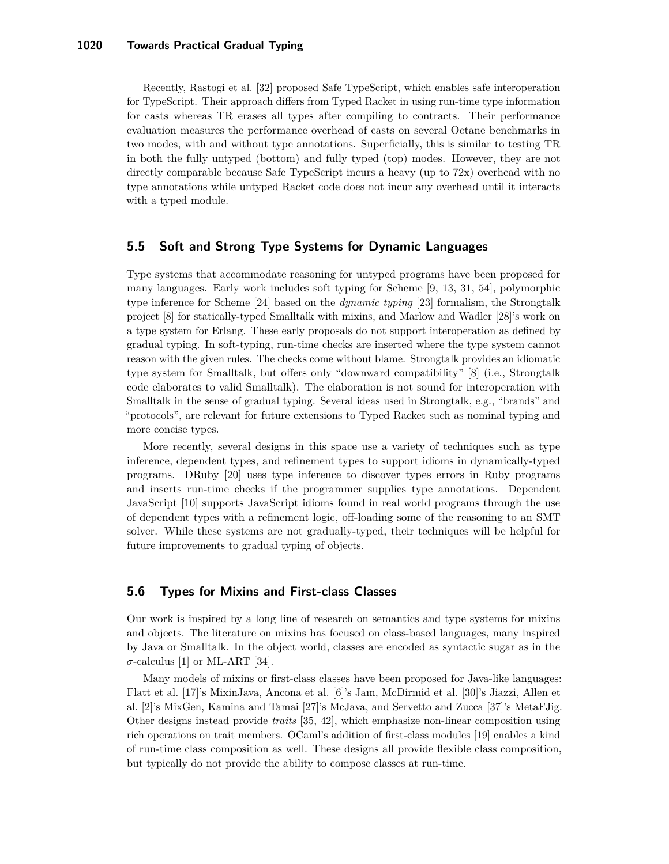Recently, Rastogi et al. [32] proposed Safe TypeScript, which enables safe interoperation for TypeScript. Their approach differs from Typed Racket in using run-time type information for casts whereas TR erases all types after compiling to contracts. Their performance evaluation measures the performance overhead of casts on several Octane benchmarks in two modes, with and without type annotations. Superficially, this is similar to testing TR in both the fully untyped (bottom) and fully typed (top) modes. However, they are not directly comparable because Safe TypeScript incurs a heavy (up to 72x) overhead with no type annotations while untyped Racket code does not incur any overhead until it interacts with a typed module.

# **5.5 Soft and Strong Type Systems for Dynamic Languages**

Type systems that accommodate reasoning for untyped programs have been proposed for many languages. Early work includes soft typing for Scheme [9, 13, 31, 54], polymorphic type inference for Scheme [24] based on the *dynamic typing* [23] formalism, the Strongtalk project [8] for statically-typed Smalltalk with mixins, and Marlow and Wadler [28]'s work on a type system for Erlang. These early proposals do not support interoperation as defined by gradual typing. In soft-typing, run-time checks are inserted where the type system cannot reason with the given rules. The checks come without blame. Strongtalk provides an idiomatic type system for Smalltalk, but offers only "downward compatibility" [8] (i.e., Strongtalk code elaborates to valid Smalltalk). The elaboration is not sound for interoperation with Smalltalk in the sense of gradual typing. Several ideas used in Strongtalk, e.g., "brands" and "protocols", are relevant for future extensions to Typed Racket such as nominal typing and more concise types.

More recently, several designs in this space use a variety of techniques such as type inference, dependent types, and refinement types to support idioms in dynamically-typed programs. DRuby [20] uses type inference to discover types errors in Ruby programs and inserts run-time checks if the programmer supplies type annotations. Dependent JavaScript [10] supports JavaScript idioms found in real world programs through the use of dependent types with a refinement logic, off-loading some of the reasoning to an SMT solver. While these systems are not gradually-typed, their techniques will be helpful for future improvements to gradual typing of objects.

# **5.6 Types for Mixins and First-class Classes**

Our work is inspired by a long line of research on semantics and type systems for mixins and objects. The literature on mixins has focused on class-based languages, many inspired by Java or Smalltalk. In the object world, classes are encoded as syntactic sugar as in the  $\sigma$ -calculus [1] or ML-ART [34].

Many models of mixins or first-class classes have been proposed for Java-like languages: Flatt et al. [17]'s MixinJava, Ancona et al. [6]'s Jam, McDirmid et al. [30]'s Jiazzi, Allen et al. [2]'s MixGen, Kamina and Tamai [27]'s McJava, and Servetto and Zucca [37]'s MetaFJig. Other designs instead provide *traits* [35, 42], which emphasize non-linear composition using rich operations on trait members. OCaml's addition of first-class modules [19] enables a kind of run-time class composition as well. These designs all provide flexible class composition, but typically do not provide the ability to compose classes at run-time.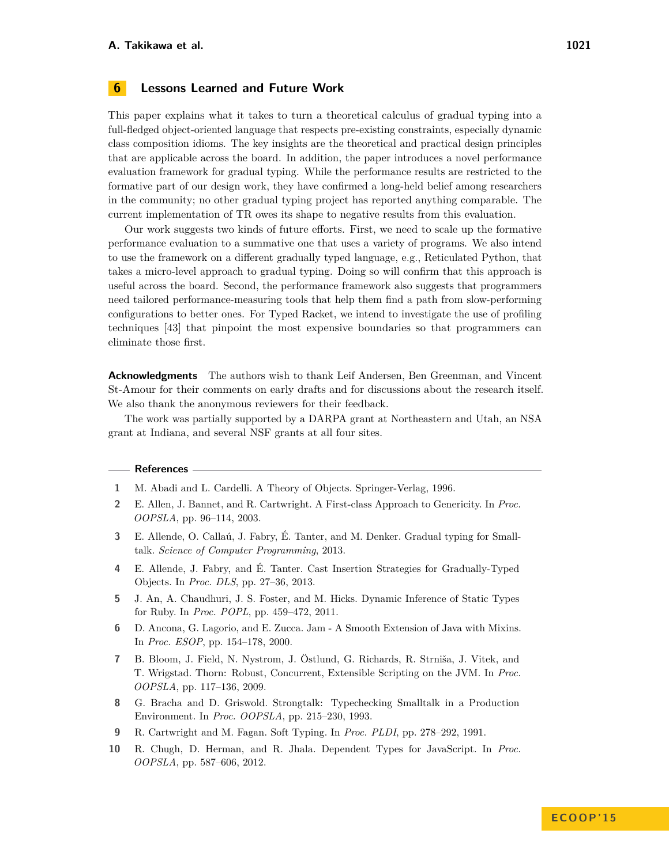#### **6 Lessons Learned and Future Work**

This paper explains what it takes to turn a theoretical calculus of gradual typing into a full-fledged object-oriented language that respects pre-existing constraints, especially dynamic class composition idioms. The key insights are the theoretical and practical design principles that are applicable across the board. In addition, the paper introduces a novel performance evaluation framework for gradual typing. While the performance results are restricted to the formative part of our design work, they have confirmed a long-held belief among researchers in the community; no other gradual typing project has reported anything comparable. The current implementation of TR owes its shape to negative results from this evaluation.

Our work suggests two kinds of future efforts. First, we need to scale up the formative performance evaluation to a summative one that uses a variety of programs. We also intend to use the framework on a different gradually typed language, e.g., Reticulated Python, that takes a micro-level approach to gradual typing. Doing so will confirm that this approach is useful across the board. Second, the performance framework also suggests that programmers need tailored performance-measuring tools that help them find a path from slow-performing configurations to better ones. For Typed Racket, we intend to investigate the use of profiling techniques [43] that pinpoint the most expensive boundaries so that programmers can eliminate those first.

**Acknowledgments** The authors wish to thank Leif Andersen, Ben Greenman, and Vincent St-Amour for their comments on early drafts and for discussions about the research itself. We also thank the anonymous reviewers for their feedback.

The work was partially supported by a DARPA grant at Northeastern and Utah, an NSA grant at Indiana, and several NSF grants at all four sites.

#### **References**

- **1** M. Abadi and L. Cardelli. A Theory of Objects. Springer-Verlag, 1996.
- **2** E. Allen, J. Bannet, and R. Cartwright. A First-class Approach to Genericity. In *Proc. OOPSLA*, pp. 96–114, 2003.
- **3** E. Allende, O. Callaú, J. Fabry, É. Tanter, and M. Denker. Gradual typing for Smalltalk. *Science of Computer Programming*, 2013.
- **4** E. Allende, J. Fabry, and É. Tanter. Cast Insertion Strategies for Gradually-Typed Objects. In *Proc. DLS*, pp. 27–36, 2013.
- **5** J. An, A. Chaudhuri, J. S. Foster, and M. Hicks. Dynamic Inference of Static Types for Ruby. In *Proc. POPL*, pp. 459–472, 2011.
- **6** D. Ancona, G. Lagorio, and E. Zucca. Jam A Smooth Extension of Java with Mixins. In *Proc. ESOP*, pp. 154–178, 2000.
- **7** B. Bloom, J. Field, N. Nystrom, J. Östlund, G. Richards, R. Strniša, J. Vitek, and T. Wrigstad. Thorn: Robust, Concurrent, Extensible Scripting on the JVM. In *Proc. OOPSLA*, pp. 117–136, 2009.
- **8** G. Bracha and D. Griswold. Strongtalk: Typechecking Smalltalk in a Production Environment. In *Proc. OOPSLA*, pp. 215–230, 1993.
- **9** R. Cartwright and M. Fagan. Soft Typing. In *Proc. PLDI*, pp. 278–292, 1991.
- **10** R. Chugh, D. Herman, and R. Jhala. Dependent Types for JavaScript. In *Proc. OOPSLA*, pp. 587–606, 2012.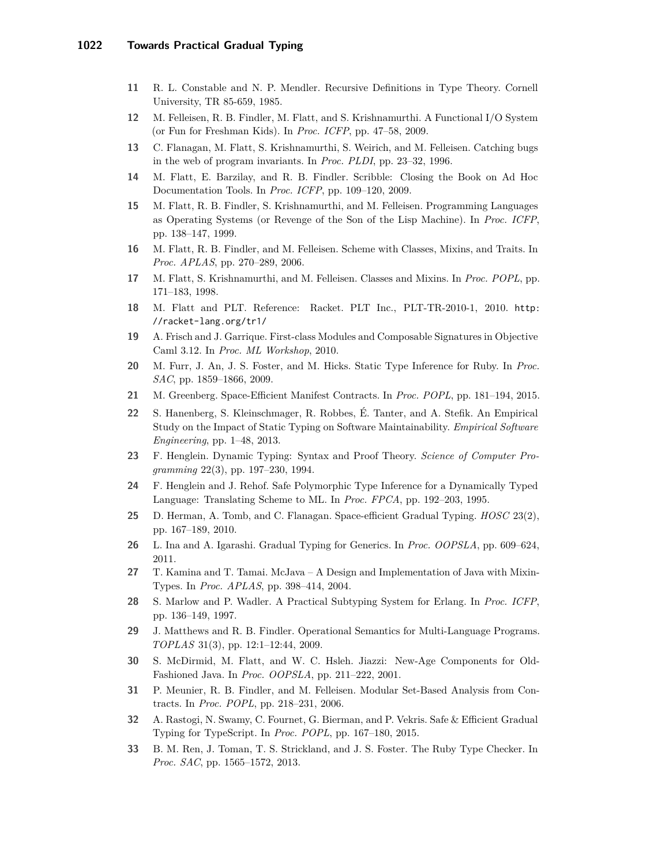- **11** R. L. Constable and N. P. Mendler. Recursive Definitions in Type Theory. Cornell University, TR 85-659, 1985.
- **12** M. Felleisen, R. B. Findler, M. Flatt, and S. Krishnamurthi. A Functional I/O System (or Fun for Freshman Kids). In *Proc. ICFP*, pp. 47–58, 2009.
- **13** C. Flanagan, M. Flatt, S. Krishnamurthi, S. Weirich, and M. Felleisen. Catching bugs in the web of program invariants. In *Proc. PLDI*, pp. 23–32, 1996.
- **14** M. Flatt, E. Barzilay, and R. B. Findler. Scribble: Closing the Book on Ad Hoc Documentation Tools. In *Proc. ICFP*, pp. 109–120, 2009.
- **15** M. Flatt, R. B. Findler, S. Krishnamurthi, and M. Felleisen. Programming Languages as Operating Systems (or Revenge of the Son of the Lisp Machine). In *Proc. ICFP*, pp. 138–147, 1999.
- **16** M. Flatt, R. B. Findler, and M. Felleisen. Scheme with Classes, Mixins, and Traits. In *Proc. APLAS*, pp. 270–289, 2006.
- **17** M. Flatt, S. Krishnamurthi, and M. Felleisen. Classes and Mixins. In *Proc. POPL*, pp. 171–183, 1998.
- **18** M. Flatt and PLT. Reference: Racket. PLT Inc., PLT-TR-2010-1, 2010. [http:](http://racket-lang.org/tr1/) [//racket-lang.org/tr1/](http://racket-lang.org/tr1/)
- **19** A. Frisch and J. Garrique. First-class Modules and Composable Signatures in Objective Caml 3.12. In *Proc. ML Workshop*, 2010.
- **20** M. Furr, J. An, J. S. Foster, and M. Hicks. Static Type Inference for Ruby. In *Proc. SAC*, pp. 1859–1866, 2009.
- **21** M. Greenberg. Space-Efficient Manifest Contracts. In *Proc. POPL*, pp. 181–194, 2015.
- **22** S. Hanenberg, S. Kleinschmager, R. Robbes, É. Tanter, and A. Stefik. An Empirical Study on the Impact of Static Typing on Software Maintainability. *Empirical Software Engineering*, pp. 1–48, 2013.
- **23** F. Henglein. Dynamic Typing: Syntax and Proof Theory. *Science of Computer Programming* 22(3), pp. 197–230, 1994.
- **24** F. Henglein and J. Rehof. Safe Polymorphic Type Inference for a Dynamically Typed Language: Translating Scheme to ML. In *Proc. FPCA*, pp. 192–203, 1995.
- **25** D. Herman, A. Tomb, and C. Flanagan. Space-efficient Gradual Typing. *HOSC* 23(2), pp. 167–189, 2010.
- **26** L. Ina and A. Igarashi. Gradual Typing for Generics. In *Proc. OOPSLA*, pp. 609–624, 2011.
- **27** T. Kamina and T. Tamai. McJava A Design and Implementation of Java with Mixin-Types. In *Proc. APLAS*, pp. 398–414, 2004.
- **28** S. Marlow and P. Wadler. A Practical Subtyping System for Erlang. In *Proc. ICFP*, pp. 136–149, 1997.
- **29** J. Matthews and R. B. Findler. Operational Semantics for Multi-Language Programs. *TOPLAS* 31(3), pp. 12:1–12:44, 2009.
- **30** S. McDirmid, M. Flatt, and W. C. Hsleh. Jiazzi: New-Age Components for Old-Fashioned Java. In *Proc. OOPSLA*, pp. 211–222, 2001.
- **31** P. Meunier, R. B. Findler, and M. Felleisen. Modular Set-Based Analysis from Contracts. In *Proc. POPL*, pp. 218–231, 2006.
- **32** A. Rastogi, N. Swamy, C. Fournet, G. Bierman, and P. Vekris. Safe & Efficient Gradual Typing for TypeScript. In *Proc. POPL*, pp. 167–180, 2015.
- **33** B. M. Ren, J. Toman, T. S. Strickland, and J. S. Foster. The Ruby Type Checker. In *Proc. SAC*, pp. 1565–1572, 2013.